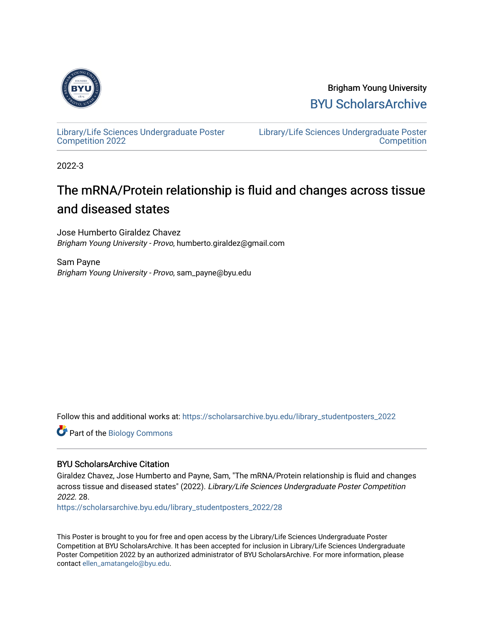

Brigham Young University [BYU ScholarsArchive](https://scholarsarchive.byu.edu/) 

[Library/Life Sciences Undergraduate Poster](https://scholarsarchive.byu.edu/library_studentposters_2022) [Competition 2022](https://scholarsarchive.byu.edu/library_studentposters_2022)

[Library/Life Sciences Undergraduate Poster](https://scholarsarchive.byu.edu/library_studentposters)  **Competition** 

2022-3

### The mRNA/Protein relationship is fluid and changes across tissue and diseased states

Jose Humberto Giraldez Chavez Brigham Young University - Provo, humberto.giraldez@gmail.com

Sam Payne Brigham Young University - Provo, sam\_payne@byu.edu

Follow this and additional works at: [https://scholarsarchive.byu.edu/library\\_studentposters\\_2022](https://scholarsarchive.byu.edu/library_studentposters_2022?utm_source=scholarsarchive.byu.edu%2Flibrary_studentposters_2022%2F28&utm_medium=PDF&utm_campaign=PDFCoverPages) 

Part of the [Biology Commons](http://network.bepress.com/hgg/discipline/41?utm_source=scholarsarchive.byu.edu%2Flibrary_studentposters_2022%2F28&utm_medium=PDF&utm_campaign=PDFCoverPages) 

#### BYU ScholarsArchive Citation

Giraldez Chavez, Jose Humberto and Payne, Sam, "The mRNA/Protein relationship is fluid and changes across tissue and diseased states" (2022). Library/Life Sciences Undergraduate Poster Competition 2022. 28.

[https://scholarsarchive.byu.edu/library\\_studentposters\\_2022/28](https://scholarsarchive.byu.edu/library_studentposters_2022/28?utm_source=scholarsarchive.byu.edu%2Flibrary_studentposters_2022%2F28&utm_medium=PDF&utm_campaign=PDFCoverPages)

This Poster is brought to you for free and open access by the Library/Life Sciences Undergraduate Poster Competition at BYU ScholarsArchive. It has been accepted for inclusion in Library/Life Sciences Undergraduate Poster Competition 2022 by an authorized administrator of BYU ScholarsArchive. For more information, please contact [ellen\\_amatangelo@byu.edu.](mailto:ellen_amatangelo@byu.edu)